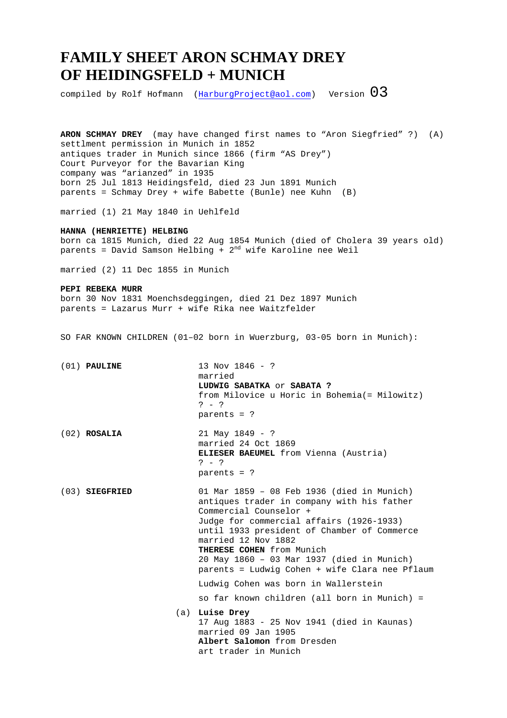## **FAMILY SHEET ARON SCHMAY DREY OF HEIDINGSFELD + MUNICH**

compiled by Rolf Hofmann (HarburgProject@aol.com) Version  $03$ 

**ARON SCHMAY DREY** (may have changed first names to "Aron Siegfried" ?) (A) settlment permission in Munich in 1852 antiques trader in Munich since 1866 (firm "AS Drey") Court Purveyor for the Bavarian King company was "arianzed" in 1935 born 25 Jul 1813 Heidingsfeld, died 23 Jun 1891 Munich parents = Schmay Drey + wife Babette (Bunle) nee Kuhn (B)

married (1) 21 May 1840 in Uehlfeld

**HANNA (HENRIETTE) HELBING**  born ca 1815 Munich, died 22 Aug 1854 Munich (died of Cholera 39 years old) parents = David Samson Helbing +  $2^{nd}$  wife Karoline nee Weil

married (2) 11 Dec 1855 in Munich

## **PEPI REBEKA MURR**

born 30 Nov 1831 Moenchsdeggingen, died 21 Dez 1897 Munich parents = Lazarus Murr + wife Rika nee Waitzfelder

SO FAR KNOWN CHILDREN (01–02 born in Wuerzburg, 03-05 born in Munich):

| $(01)$ PAULINE   | 13 Nov 1846 - ?<br>married<br>LUDWIG SABATKA OF SABATA ?<br>from Milovice u Horic in Bohemia (= Milowitz)<br>$? - ?$<br>parents = $?$                                                                                                                                                                                                                             |
|------------------|-------------------------------------------------------------------------------------------------------------------------------------------------------------------------------------------------------------------------------------------------------------------------------------------------------------------------------------------------------------------|
| $(02)$ ROSALIA   | $21$ May $1849 - ?$<br>married 24 Oct 1869<br><b>ELIESER BAEUMEL</b> from Vienna (Austria)<br>$? - ?$<br>parents = $?$                                                                                                                                                                                                                                            |
| $(03)$ SIEGFRIED | 01 Mar 1859 - 08 Feb 1936 (died in Munich)<br>antiques trader in company with his father<br>Commercial Counselor +<br>Judge for commercial affairs (1926-1933)<br>until 1933 president of Chamber of Commerce<br>married 12 Nov 1882<br>THERESE COHEN from Munich<br>20 May 1860 - 03 Mar 1937 (died in Munich)<br>parents = Ludwig Cohen + wife Clara nee Pflaum |
|                  | Ludwig Cohen was born in Wallerstein                                                                                                                                                                                                                                                                                                                              |
|                  | so far known children (all born in Munich) =                                                                                                                                                                                                                                                                                                                      |
|                  | (a) Luise Drey<br>17 Aug 1883 - 25 Nov 1941 (died in Kaunas)<br>married 09 Jan 1905<br>Albert Salomon from Dresden<br>art trader in Munich                                                                                                                                                                                                                        |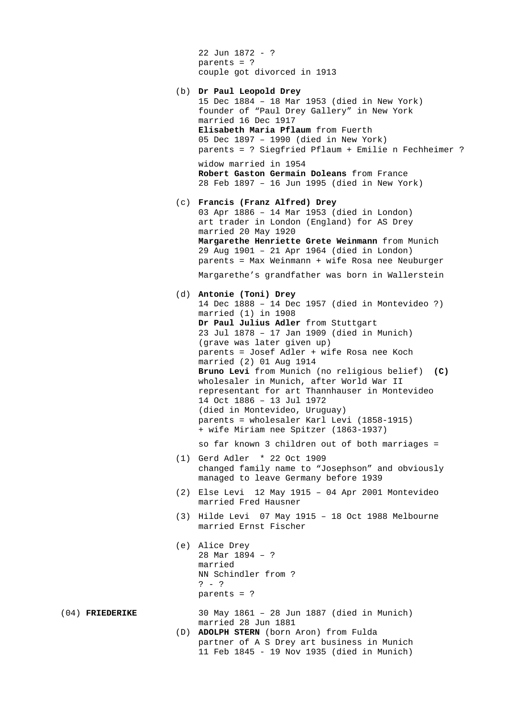```
 22 Jun 1872 - ? 
 parents = ? 
 couple got divorced in 1913
```

```
 (b) Dr Paul Leopold Drey
```

```
 15 Dec 1884 – 18 Mar 1953 (died in New York) 
 founder of "Paul Drey Gallery" in New York 
 married 16 Dec 1917 
 Elisabeth Maria Pflaum from Fuerth 
 05 Dec 1897 – 1990 (died in New York) 
 parents = ? Siegfried Pflaum + Emilie n Fechheimer ?
```
 widow married in 1954 **Robert Gaston Germain Doleans** from France 28 Feb 1897 – 16 Jun 1995 (died in New York)

- (c) **Francis (Franz Alfred) Drey**
	- 03 Apr 1886 14 Mar 1953 (died in London) art trader in London (England) for AS Drey married 20 May 1920 **Margarethe Henriette Grete Weinmann** from Munich 29 Aug 1901 – 21 Apr 1964 (died in London) parents = Max Weinmann + wife Rosa nee Neuburger

Margarethe's grandfather was born in Wallerstein

(d) **Antonie (Toni) Drey**

```
 14 Dec 1888 – 14 Dec 1957 (died in Montevideo ?) 
 married (1) in 1908 
Dr Paul Julius Adler from Stuttgart
 23 Jul 1878 – 17 Jan 1909 (died in Munich) 
 (grave was later given up) 
 parents = Josef Adler + wife Rosa nee Koch 
 married (2) 01 Aug 1914 
Bruno Levi from Munich (no religious belief) (C)
 wholesaler in Munich, after World War II 
 representant for art Thannhauser in Montevideo 
 14 Oct 1886 – 13 Jul 1972 
 (died in Montevideo, Uruguay) 
 parents = wholesaler Karl Levi (1858-1915) 
 + wife Miriam nee Spitzer (1863-1937)
```
so far known 3 children out of both marriages =

- (1) Gerd Adler \* 22 Oct 1909 changed family name to "Josephson" and obviously managed to leave Germany before 1939
- (2) Else Levi 12 May 1915 04 Apr 2001 Montevideo married Fred Hausner
- (3) Hilde Levi 07 May 1915 18 Oct 1988 Melbourne married Ernst Fischer
- (e) Alice Drey 28 Mar 1894 – ? married NN Schindler from ?  $? - ?$ parents = ?

- (04) **FRIEDERIKE** 30 May 1861 28 Jun 1887 (died in Munich) married 28 Jun 1881
	- (D) **ADOLPH STERN** (born Aron) from Fulda partner of A S Drey art business in Munich 11 Feb 1845 - 19 Nov 1935 (died in Munich)